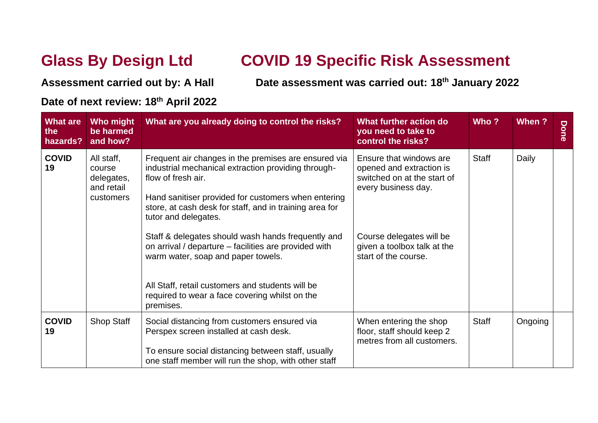## **Glass By Design Ltd COVID 19 Specific Risk Assessment**

**Assessment carried out by: A Hall Date assessment was carried out: 18th January 2022**

## **Date of next review: 18 th April 2022**

| <b>What are</b><br>the<br>hazards? | Who might<br>be harmed<br>and how?                            | What are you already doing to control the risks?                                                                                                                                                                                                                                                                                                                                                                                                                                                                                                    | What further action do<br>you need to take to<br>control the risks?                                                                                                                          | Who?         | When ?  | Done |
|------------------------------------|---------------------------------------------------------------|-----------------------------------------------------------------------------------------------------------------------------------------------------------------------------------------------------------------------------------------------------------------------------------------------------------------------------------------------------------------------------------------------------------------------------------------------------------------------------------------------------------------------------------------------------|----------------------------------------------------------------------------------------------------------------------------------------------------------------------------------------------|--------------|---------|------|
| <b>COVID</b><br>19                 | All staff,<br>course<br>delegates,<br>and retail<br>customers | Frequent air changes in the premises are ensured via<br>industrial mechanical extraction providing through-<br>flow of fresh air.<br>Hand sanitiser provided for customers when entering<br>store, at cash desk for staff, and in training area for<br>tutor and delegates.<br>Staff & delegates should wash hands frequently and<br>on arrival / departure – facilities are provided with<br>warm water, soap and paper towels.<br>All Staff, retail customers and students will be<br>required to wear a face covering whilst on the<br>premises. | Ensure that windows are<br>opened and extraction is<br>switched on at the start of<br>every business day.<br>Course delegates will be<br>given a toolbox talk at the<br>start of the course. | <b>Staff</b> | Daily   |      |
| <b>COVID</b><br>19                 | <b>Shop Staff</b>                                             | Social distancing from customers ensured via<br>Perspex screen installed at cash desk.<br>To ensure social distancing between staff, usually<br>one staff member will run the shop, with other staff                                                                                                                                                                                                                                                                                                                                                | When entering the shop<br>floor, staff should keep 2<br>metres from all customers.                                                                                                           | <b>Staff</b> | Ongoing |      |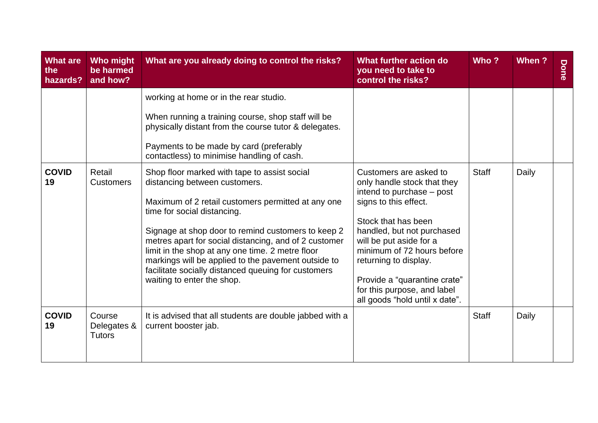| <b>What are</b><br>the<br>hazards? | Who might<br>be harmed<br>and how?     | What are you already doing to control the risks?                                                                                                                                                                                                                                                                                                                                                                                                                                  | What further action do<br>you need to take to<br>control the risks?                                                                                                                                                                                                                                                                                 | Who?         | When ? | Done |
|------------------------------------|----------------------------------------|-----------------------------------------------------------------------------------------------------------------------------------------------------------------------------------------------------------------------------------------------------------------------------------------------------------------------------------------------------------------------------------------------------------------------------------------------------------------------------------|-----------------------------------------------------------------------------------------------------------------------------------------------------------------------------------------------------------------------------------------------------------------------------------------------------------------------------------------------------|--------------|--------|------|
|                                    |                                        | working at home or in the rear studio.<br>When running a training course, shop staff will be<br>physically distant from the course tutor & delegates.<br>Payments to be made by card (preferably<br>contactless) to minimise handling of cash.                                                                                                                                                                                                                                    |                                                                                                                                                                                                                                                                                                                                                     |              |        |      |
| <b>COVID</b><br>19                 | Retail<br><b>Customers</b>             | Shop floor marked with tape to assist social<br>distancing between customers.<br>Maximum of 2 retail customers permitted at any one<br>time for social distancing.<br>Signage at shop door to remind customers to keep 2<br>metres apart for social distancing, and of 2 customer<br>limit in the shop at any one time. 2 metre floor<br>markings will be applied to the pavement outside to<br>facilitate socially distanced queuing for customers<br>waiting to enter the shop. | Customers are asked to<br>only handle stock that they<br>intend to purchase – post<br>signs to this effect.<br>Stock that has been<br>handled, but not purchased<br>will be put aside for a<br>minimum of 72 hours before<br>returning to display.<br>Provide a "quarantine crate"<br>for this purpose, and label<br>all goods "hold until x date". | <b>Staff</b> | Daily  |      |
| <b>COVID</b><br>19                 | Course<br>Delegates &<br><b>Tutors</b> | It is advised that all students are double jabbed with a<br>current booster jab.                                                                                                                                                                                                                                                                                                                                                                                                  |                                                                                                                                                                                                                                                                                                                                                     | <b>Staff</b> | Daily  |      |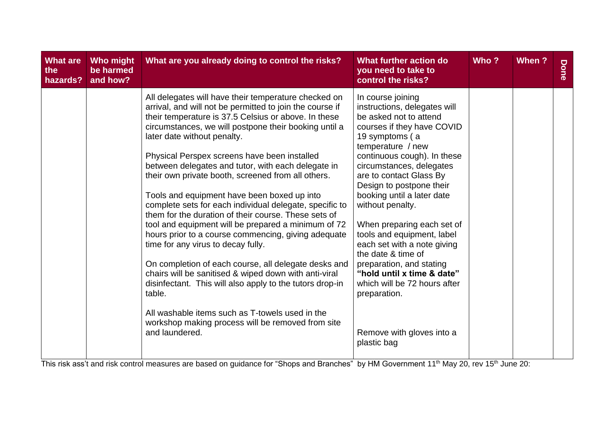| <b>What are</b><br>the<br>hazards? | Who might<br>be harmed<br>and how? | What are you already doing to control the risks?                                                                                                                                                                                                                                                                                                                                                                                                                                                                                                                                                                                                                                                                                                                                                                                                                                                                                                                                                                                                                    | What further action do<br>you need to take to<br>control the risks?                                                                                                                                                                                                                                                                                                                                                                                                                                                                                                                         | Who? | When ? | Done |
|------------------------------------|------------------------------------|---------------------------------------------------------------------------------------------------------------------------------------------------------------------------------------------------------------------------------------------------------------------------------------------------------------------------------------------------------------------------------------------------------------------------------------------------------------------------------------------------------------------------------------------------------------------------------------------------------------------------------------------------------------------------------------------------------------------------------------------------------------------------------------------------------------------------------------------------------------------------------------------------------------------------------------------------------------------------------------------------------------------------------------------------------------------|---------------------------------------------------------------------------------------------------------------------------------------------------------------------------------------------------------------------------------------------------------------------------------------------------------------------------------------------------------------------------------------------------------------------------------------------------------------------------------------------------------------------------------------------------------------------------------------------|------|--------|------|
|                                    |                                    | All delegates will have their temperature checked on<br>arrival, and will not be permitted to join the course if<br>their temperature is 37.5 Celsius or above. In these<br>circumstances, we will postpone their booking until a<br>later date without penalty.<br>Physical Perspex screens have been installed<br>between delegates and tutor, with each delegate in<br>their own private booth, screened from all others.<br>Tools and equipment have been boxed up into<br>complete sets for each individual delegate, specific to<br>them for the duration of their course. These sets of<br>tool and equipment will be prepared a minimum of 72<br>hours prior to a course commencing, giving adequate<br>time for any virus to decay fully.<br>On completion of each course, all delegate desks and<br>chairs will be sanitised & wiped down with anti-viral<br>disinfectant. This will also apply to the tutors drop-in<br>table.<br>All washable items such as T-towels used in the<br>workshop making process will be removed from site<br>and laundered. | In course joining<br>instructions, delegates will<br>be asked not to attend<br>courses if they have COVID<br>19 symptoms (a<br>temperature / new<br>continuous cough). In these<br>circumstances, delegates<br>are to contact Glass By<br>Design to postpone their<br>booking until a later date<br>without penalty.<br>When preparing each set of<br>tools and equipment, label<br>each set with a note giving<br>the date & time of<br>preparation, and stating<br>"hold until x time & date"<br>which will be 72 hours after<br>preparation.<br>Remove with gloves into a<br>plastic bag |      |        |      |
|                                    |                                    |                                                                                                                                                                                                                                                                                                                                                                                                                                                                                                                                                                                                                                                                                                                                                                                                                                                                                                                                                                                                                                                                     |                                                                                                                                                                                                                                                                                                                                                                                                                                                                                                                                                                                             |      |        |      |

This risk ass't and risk control measures are based on guidance for "Shops and Branches" by HM Government 11<sup>th</sup> May 20, rev 15<sup>th</sup> June 20: